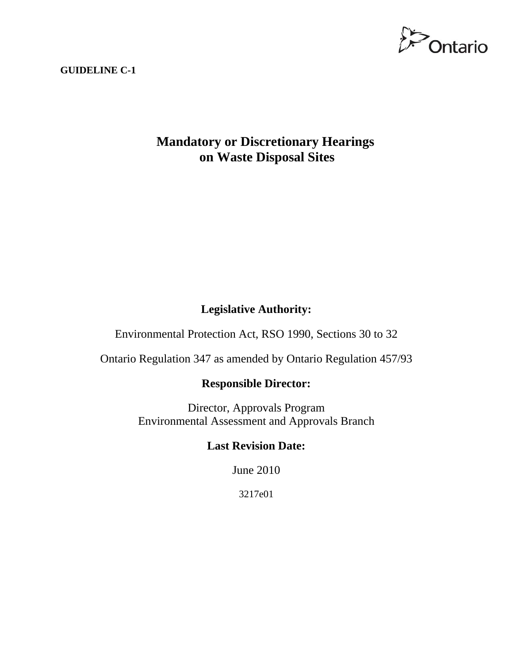

#### **GUIDELINE C-1**

# **Mandatory or Discretionary Hearings on Waste Disposal Sites**

## **Legislative Authority:**

Environmental Protection Act, RSO 1990, Sections 30 to 32

Ontario Regulation 347 as amended by Ontario Regulation 457/93

## **Responsible Director:**

Director, Approvals Program Environmental Assessment and Approvals Branch

# **Last Revision Date:**

June 2010

3217e01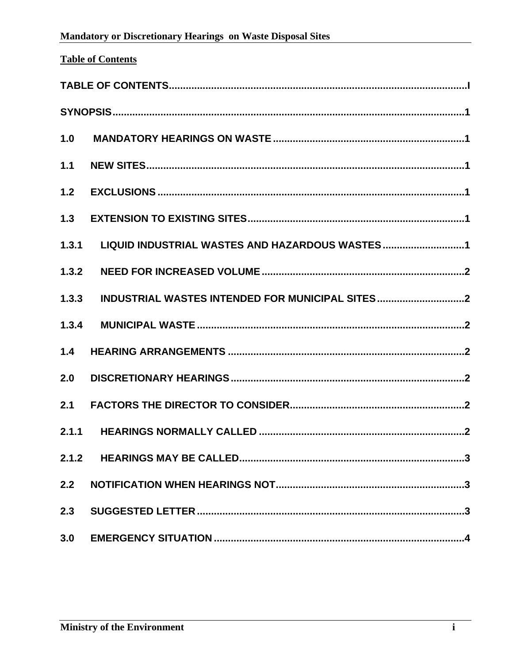<span id="page-1-0"></span>

| 1.0   |                                                |
|-------|------------------------------------------------|
| $1.1$ |                                                |
| $1.2$ |                                                |
| 1.3   |                                                |
| 1.3.1 | LIQUID INDUSTRIAL WASTES AND HAZARDOUS WASTES1 |
| 1.3.2 |                                                |
| 1.3.3 |                                                |
| 1.3.4 |                                                |
| 1.4   |                                                |
| 2.0   |                                                |
| 2.1   |                                                |
| 2.1.1 |                                                |
| 2.1.2 |                                                |
| 2.2   |                                                |
| 2.3   |                                                |
| 3.0   |                                                |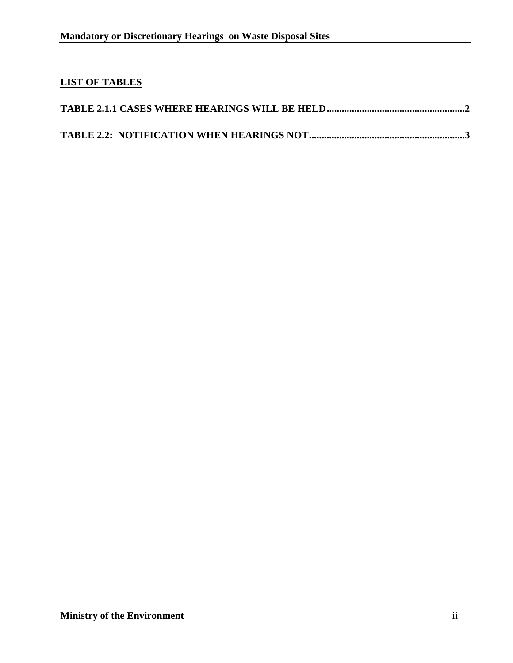# **LIST OF TABLES**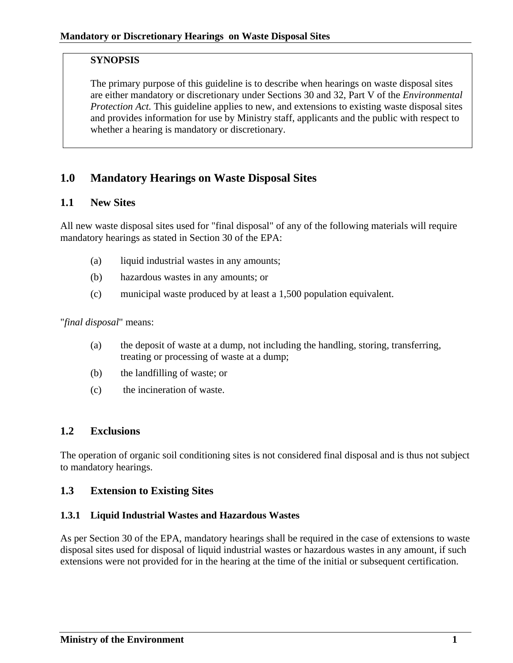### <span id="page-3-0"></span>**SYNOPSIS**

The primary purpose of this guideline is to describe when hearings on waste disposal sites are either mandatory or discretionary under Sections 30 and 32, Part V of the *Environmental Protection Act.* This guideline applies to new, and extensions to existing waste disposal sites and provides information for use by Ministry staff, applicants and the public with respect to whether a hearing is mandatory or discretionary.

# **1.0 Mandatory Hearings on Waste Disposal Sites**

### **1.1 New Sites**

All new waste disposal sites used for "final disposal" of any of the following materials will require mandatory hearings as stated in Section 30 of the EPA:

- (a) liquid industrial wastes in any amounts;
- (b) hazardous wastes in any amounts; or
- (c) municipal waste produced by at least a 1,500 population equivalent.

"*final disposal*" means:

- (a) the deposit of waste at a dump, not including the handling, storing, transferring, treating or processing of waste at a dump;
- (b) the landfilling of waste; or
- (c) the incineration of waste.

#### **1.2 Exclusions**

The operation of organic soil conditioning sites is not considered final disposal and is thus not subject to mandatory hearings.

## **1.3 Extension to Existing Sites**

#### **1.3.1 Liquid Industrial Wastes and Hazardous Wastes**

As per Section 30 of the EPA, mandatory hearings shall be required in the case of extensions to waste disposal sites used for disposal of liquid industrial wastes or hazardous wastes in any amount, if such extensions were not provided for in the hearing at the time of the initial or subsequent certification.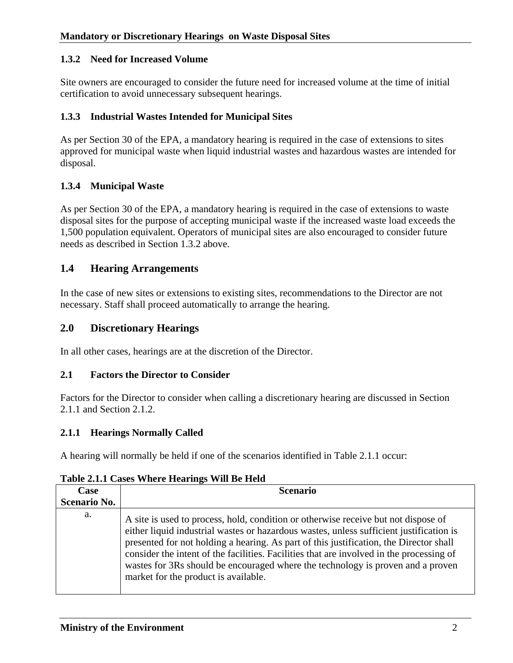#### <span id="page-4-0"></span>**1.3.2 Need for Increased Volume**

Site owners are encouraged to consider the future need for increased volume at the time of initial certification to avoid unnecessary subsequent hearings.

### **1.3.3 Industrial Wastes Intended for Municipal Sites**

As per Section 30 of the EPA, a mandatory hearing is required in the case of extensions to sites approved for municipal waste when liquid industrial wastes and hazardous wastes are intended for disposal.

## **1.3.4 Municipal Waste**

As per Section 30 of the EPA, a mandatory hearing is required in the case of extensions to waste disposal sites for the purpose of accepting municipal waste if the increased waste load exceeds the 1,500 population equivalent. Operators of municipal sites are also encouraged to consider future needs as described in Section 1.3.2 above.

## **1.4 Hearing Arrangements**

In the case of new sites or extensions to existing sites, recommendations to the Director are not necessary. Staff shall proceed automatically to arrange the hearing.

## **2.0 Discretionary Hearings**

In all other cases, hearings are at the discretion of the Director.

#### **2.1 Factors the Director to Consider**

Factors for the Director to consider when calling a discretionary hearing are discussed in Section 2.1.1 and Section 2.1.2.

#### **2.1.1 Hearings Normally Called**

A hearing will normally be held if one of the scenarios identified in Table 2.1.1 occur:

| Case                | <b>Scenario</b>                                                                                                                                                                                                                                                                                                                                                                                                                                                                                |
|---------------------|------------------------------------------------------------------------------------------------------------------------------------------------------------------------------------------------------------------------------------------------------------------------------------------------------------------------------------------------------------------------------------------------------------------------------------------------------------------------------------------------|
| <b>Scenario No.</b> |                                                                                                                                                                                                                                                                                                                                                                                                                                                                                                |
| a.                  | A site is used to process, hold, condition or otherwise receive but not dispose of<br>either liquid industrial wastes or hazardous wastes, unless sufficient justification is<br>presented for not holding a hearing. As part of this justification, the Director shall<br>consider the intent of the facilities. Facilities that are involved in the processing of<br>wastes for 3Rs should be encouraged where the technology is proven and a proven<br>market for the product is available. |

#### **Table 2.1.1 Cases Where Hearings Will Be Held**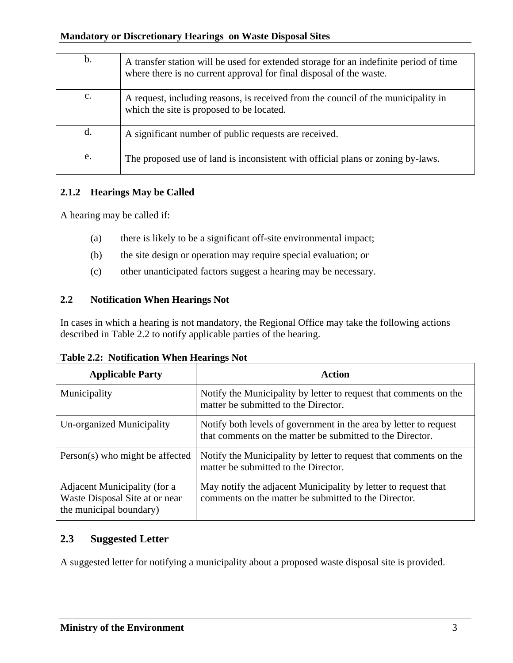<span id="page-5-0"></span>

| $\mathbf b$ .  | A transfer station will be used for extended storage for an indefinite period of time<br>where there is no current approval for final disposal of the waste. |
|----------------|--------------------------------------------------------------------------------------------------------------------------------------------------------------|
| $\mathbf{c}$ . | A request, including reasons, is received from the council of the municipality in<br>which the site is proposed to be located.                               |
| d.             | A significant number of public requests are received.                                                                                                        |
| e.             | The proposed use of land is inconsistent with official plans or zoning by-laws.                                                                              |

## **2.1.2 Hearings May be Called**

A hearing may be called if:

- (a) there is likely to be a significant off-site environmental impact;
- (b) the site design or operation may require special evaluation; or
- (c) other unanticipated factors suggest a hearing may be necessary.

## **2.2 Notification When Hearings Not**

In cases in which a hearing is not mandatory, the Regional Office may take the following actions described in Table 2.2 to notify applicable parties of the hearing.

|  |  |  | Table 2.2: Notification When Hearings Not |
|--|--|--|-------------------------------------------|
|--|--|--|-------------------------------------------|

| <b>Applicable Party</b>                                                                   | Action                                                                                                                         |
|-------------------------------------------------------------------------------------------|--------------------------------------------------------------------------------------------------------------------------------|
| Municipality                                                                              | Notify the Municipality by letter to request that comments on the<br>matter be submitted to the Director.                      |
| Un-organized Municipality                                                                 | Notify both levels of government in the area by letter to request<br>that comments on the matter be submitted to the Director. |
| Person(s) who might be affected                                                           | Notify the Municipality by letter to request that comments on the<br>matter be submitted to the Director.                      |
| Adjacent Municipality (for a<br>Waste Disposal Site at or near<br>the municipal boundary) | May notify the adjacent Municipality by letter to request that<br>comments on the matter be submitted to the Director.         |

## **2.3 Suggested Letter**

A suggested letter for notifying a municipality about a proposed waste disposal site is provided.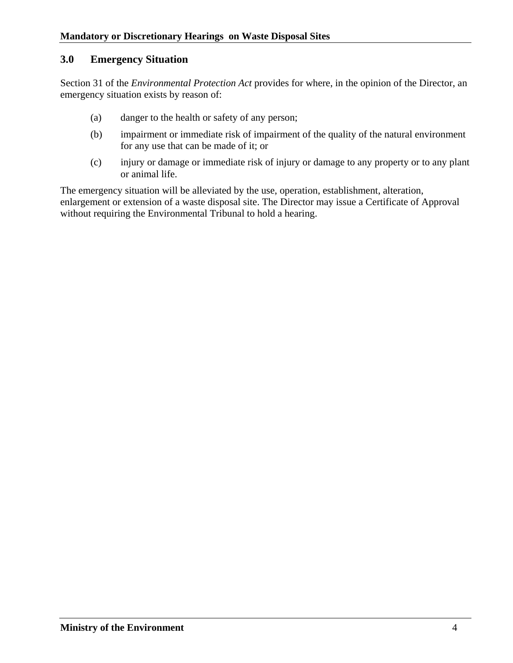## <span id="page-6-0"></span>**3.0 Emergency Situation**

Section 31 of the *Environmental Protection Act* provides for where, in the opinion of the Director, an emergency situation exists by reason of:

- (a) danger to the health or safety of any person;
- (b) impairment or immediate risk of impairment of the quality of the natural environment for any use that can be made of it; or
- (c) injury or damage or immediate risk of injury or damage to any property or to any plant or animal life.

The emergency situation will be alleviated by the use, operation, establishment, alteration, enlargement or extension of a waste disposal site. The Director may issue a Certificate of Approval without requiring the Environmental Tribunal to hold a hearing.